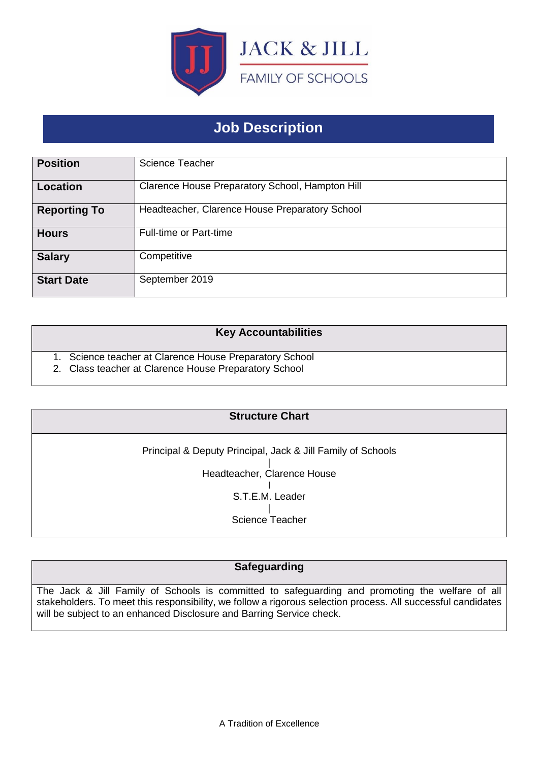

# **Job Description**

| <b>Position</b>     | <b>Science Teacher</b>                          |
|---------------------|-------------------------------------------------|
| Location            | Clarence House Preparatory School, Hampton Hill |
| <b>Reporting To</b> | Headteacher, Clarence House Preparatory School  |
| <b>Hours</b>        | <b>Full-time or Part-time</b>                   |
| <b>Salary</b>       | Competitive                                     |
| <b>Start Date</b>   | September 2019                                  |

### **Key Accountabilities**

1. Science teacher at Clarence House Preparatory School

2. Class teacher at Clarence House Preparatory School

## **Structure Chart**

Principal & Deputy Principal, Jack & Jill Family of Schools | Headteacher, Clarence House I S.T.E.M. Leader | Science Teacher

# **Safeguarding**

The Jack & Jill Family of Schools is committed to safeguarding and promoting the welfare of all stakeholders. To meet this responsibility, we follow a rigorous selection process. All successful candidates will be subject to an enhanced Disclosure and Barring Service check.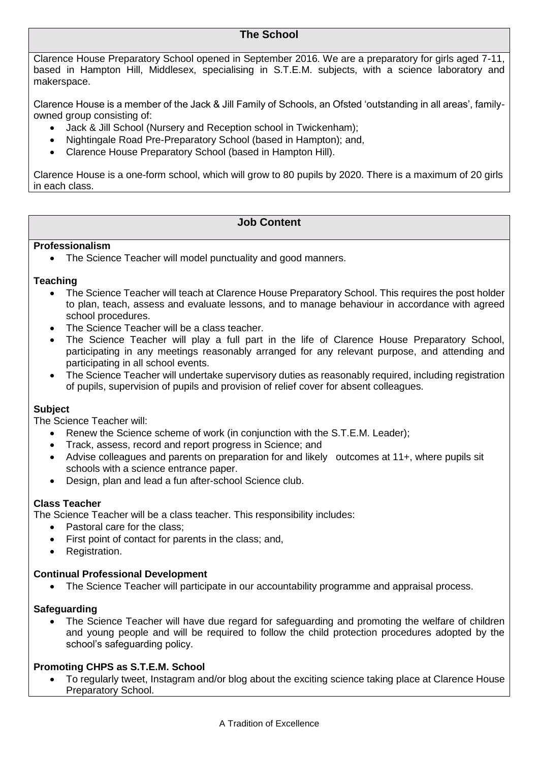## **The School**

Clarence House Preparatory School opened in September 2016. We are a preparatory for girls aged 7-11, based in Hampton Hill, Middlesex, specialising in S.T.E.M. subjects, with a science laboratory and makerspace.

Clarence House is a member of the Jack & Jill Family of Schools, an Ofsted 'outstanding in all areas', familyowned group consisting of:

- Jack & Jill School (Nursery and Reception school in Twickenham);
- Nightingale Road Pre-Preparatory School (based in Hampton); and,
- Clarence House Preparatory School (based in Hampton Hill).

Clarence House is a one-form school, which will grow to 80 pupils by 2020. There is a maximum of 20 girls in each class.

## **Job Content**

#### **Professionalism**

• The Science Teacher will model punctuality and good manners.

#### **Teaching**

- The Science Teacher will teach at Clarence House Preparatory School. This requires the post holder to plan, teach, assess and evaluate lessons, and to manage behaviour in accordance with agreed school procedures.
- The Science Teacher will be a class teacher.
- The Science Teacher will play a full part in the life of Clarence House Preparatory School, participating in any meetings reasonably arranged for any relevant purpose, and attending and participating in all school events.
- The Science Teacher will undertake supervisory duties as reasonably required, including registration of pupils, supervision of pupils and provision of relief cover for absent colleagues.

#### **Subject**

The Science Teacher will:

- Renew the Science scheme of work (in conjunction with the S.T.E.M. Leader);
- Track, assess, record and report progress in Science; and
- Advise colleagues and parents on preparation for and likely outcomes at 11+, where pupils sit schools with a science entrance paper.
- Design, plan and lead a fun after-school Science club.

#### **Class Teacher**

The Science Teacher will be a class teacher. This responsibility includes:

- Pastoral care for the class:
- First point of contact for parents in the class; and,
- Registration.

#### **Continual Professional Development**

• The Science Teacher will participate in our accountability programme and appraisal process.

#### **Safeguarding**

• The Science Teacher will have due regard for safeguarding and promoting the welfare of children and young people and will be required to follow the child protection procedures adopted by the school's safeguarding policy.

#### **Promoting CHPS as S.T.E.M. School**

• To regularly tweet, Instagram and/or blog about the exciting science taking place at Clarence House Preparatory School.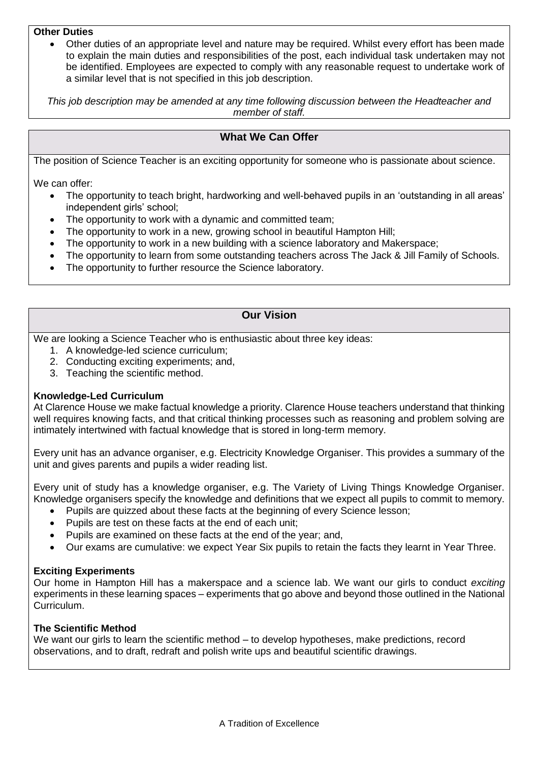#### **Other Duties**

• Other duties of an appropriate level and nature may be required. Whilst every effort has been made to explain the main duties and responsibilities of the post, each individual task undertaken may not be identified. Employees are expected to comply with any reasonable request to undertake work of a similar level that is not specified in this job description.

*This job description may be amended at any time following discussion between the Headteacher and member of staff.*

## **What We Can Offer**

The position of Science Teacher is an exciting opportunity for someone who is passionate about science.

We can offer:

- The opportunity to teach bright, hardworking and well-behaved pupils in an 'outstanding in all areas' independent girls' school;
- The opportunity to work with a dynamic and committed team;
- The opportunity to work in a new, growing school in beautiful Hampton Hill;
- The opportunity to work in a new building with a science laboratory and Makerspace;
- The opportunity to learn from some outstanding teachers across The Jack & Jill Family of Schools.
- The opportunity to further resource the Science laboratory.

## **Our Vision**

We are looking a Science Teacher who is enthusiastic about three key ideas:

- 1. A knowledge-led science curriculum;
- 2. Conducting exciting experiments; and,
- 3. Teaching the scientific method.

#### **Knowledge-Led Curriculum**

At Clarence House we make factual knowledge a priority. Clarence House teachers understand that thinking well requires knowing facts, and that critical thinking processes such as reasoning and problem solving are intimately intertwined with factual knowledge that is stored in long-term memory.

Every unit has an advance organiser, e.g. Electricity Knowledge Organiser. This provides a summary of the unit and gives parents and pupils a wider reading list.

Every unit of study has a knowledge organiser, e.g. The Variety of Living Things Knowledge Organiser. Knowledge organisers specify the knowledge and definitions that we expect all pupils to commit to memory.

- Pupils are quizzed about these facts at the beginning of every Science lesson;
- Pupils are test on these facts at the end of each unit;
- Pupils are examined on these facts at the end of the year; and,
- Our exams are cumulative: we expect Year Six pupils to retain the facts they learnt in Year Three.

#### **Exciting Experiments**

Our home in Hampton Hill has a makerspace and a science lab. We want our girls to conduct *exciting* experiments in these learning spaces – experiments that go above and beyond those outlined in the National Curriculum.

#### **The Scientific Method**

We want our girls to learn the scientific method – to develop hypotheses, make predictions, record observations, and to draft, redraft and polish write ups and beautiful scientific drawings.